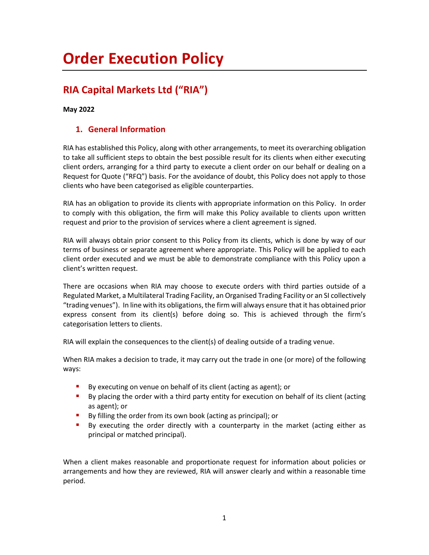# **Order Execution Policy**

## **RIA Capital Markets Ltd ("RIA")**

#### **May 2022**

#### **1. General Information**

RIA has established this Policy, along with other arrangements, to meet its overarching obligation to take all sufficient steps to obtain the best possible result for its clients when either executing client orders, arranging for a third party to execute a client order on our behalf or dealing on a Request for Quote ("RFQ") basis. For the avoidance of doubt, this Policy does not apply to those clients who have been categorised as eligible counterparties.

RIA has an obligation to provide its clients with appropriate information on this Policy. In order to comply with this obligation, the firm will make this Policy available to clients upon written request and prior to the provision of services where a client agreement is signed.

RIA will always obtain prior consent to this Policy from its clients, which is done by way of our terms of business or separate agreement where appropriate. This Policy will be applied to each client order executed and we must be able to demonstrate compliance with this Policy upon a client's written request.

There are occasions when RIA may choose to execute orders with third parties outside of a Regulated Market, a Multilateral Trading Facility, an Organised Trading Facility or an SI collectively "trading venues"). In line with its obligations, the firm will always ensure that it has obtained prior express consent from its client(s) before doing so. This is achieved through the firm's categorisation letters to clients.

RIA will explain the consequences to the client(s) of dealing outside of a trading venue.

When RIA makes a decision to trade, it may carry out the trade in one (or more) of the following ways:

- By executing on venue on behalf of its client (acting as agent); or
- **•** By placing the order with a third party entity for execution on behalf of its client (acting as agent); or
- By filling the order from its own book (acting as principal); or
- By executing the order directly with a counterparty in the market (acting either as principal or matched principal).

When a client makes reasonable and proportionate request for information about policies or arrangements and how they are reviewed, RIA will answer clearly and within a reasonable time period.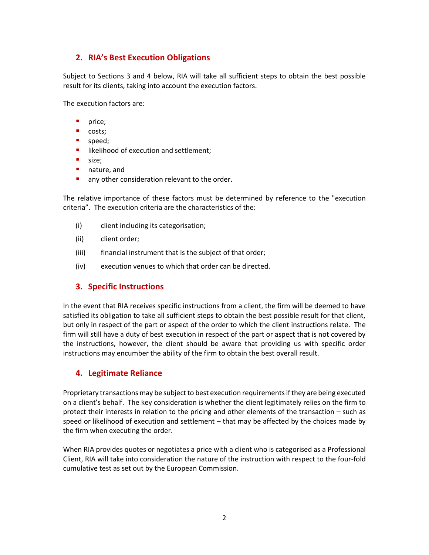#### **2. RIA's Best Execution Obligations**

Subject to Sections 3 and 4 below, RIA will take all sufficient steps to obtain the best possible result for its clients, taking into account the execution factors.

The execution factors are:

- **P** price;
- costs;
- speed;
- **■** likelihood of execution and settlement;
- size;
- nature, and
- any other consideration relevant to the order.

The relative importance of these factors must be determined by reference to the "execution criteria". The execution criteria are the characteristics of the:

- (i) client including its categorisation;
- (ii) client order;
- (iii) financial instrument that is the subject of that order;
- (iv) execution venues to which that order can be directed.

#### **3. Specific Instructions**

In the event that RIA receives specific instructions from a client, the firm will be deemed to have satisfied its obligation to take all sufficient steps to obtain the best possible result for that client, but only in respect of the part or aspect of the order to which the client instructions relate. The firm will still have a duty of best execution in respect of the part or aspect that is not covered by the instructions, however, the client should be aware that providing us with specific order instructions may encumber the ability of the firm to obtain the best overall result.

#### **4. Legitimate Reliance**

Proprietary transactions may be subject to best execution requirements if they are being executed on a client's behalf. The key consideration is whether the client legitimately relies on the firm to protect their interests in relation to the pricing and other elements of the transaction – such as speed or likelihood of execution and settlement – that may be affected by the choices made by the firm when executing the order.

When RIA provides quotes or negotiates a price with a client who is categorised as a Professional Client, RIA will take into consideration the nature of the instruction with respect to the four-fold cumulative test as set out by the European Commission.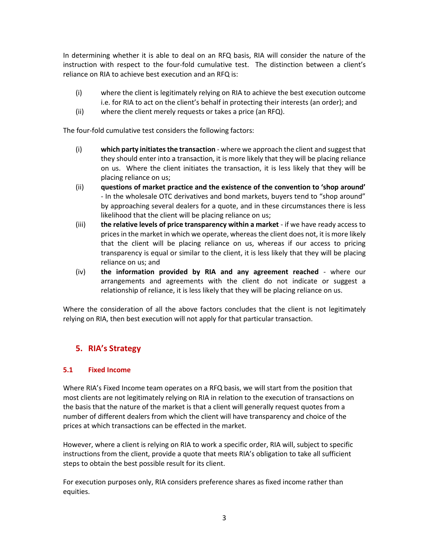In determining whether it is able to deal on an RFQ basis, RIA will consider the nature of the instruction with respect to the four-fold cumulative test. The distinction between a client's reliance on RIA to achieve best execution and an RFQ is:

- (i) where the client is legitimately relying on RIA to achieve the best execution outcome i.e. for RIA to act on the client's behalf in protecting their interests (an order); and
- (ii) where the client merely requests or takes a price (an RFQ).

The four-fold cumulative test considers the following factors:

- (i) **which party initiates the transaction** where we approach the client and suggest that they should enter into a transaction, it is more likely that they will be placing reliance on us. Where the client initiates the transaction, it is less likely that they will be placing reliance on us;
- (ii) **questions of market practice and the existence of the convention to 'shop around'** - In the wholesale OTC derivatives and bond markets, buyers tend to "shop around" by approaching several dealers for a quote, and in these circumstances there is less likelihood that the client will be placing reliance on us;
- (iii) **the relative levels of price transparency within a market** if we have ready access to prices in the market in which we operate, whereas the client does not, it is more likely that the client will be placing reliance on us, whereas if our access to pricing transparency is equal or similar to the client, it is less likely that they will be placing reliance on us; and
- (iv) **the information provided by RIA and any agreement reached** where our arrangements and agreements with the client do not indicate or suggest a relationship of reliance, it is less likely that they will be placing reliance on us.

Where the consideration of all the above factors concludes that the client is not legitimately relying on RIA, then best execution will not apply for that particular transaction.

#### **5. RIA's Strategy**

#### **5.1 Fixed Income**

Where RIA's Fixed Income team operates on a RFQ basis, we will start from the position that most clients are not legitimately relying on RIA in relation to the execution of transactions on the basis that the nature of the market is that a client will generally request quotes from a number of different dealers from which the client will have transparency and choice of the prices at which transactions can be effected in the market.

However, where a client is relying on RIA to work a specific order, RIA will, subject to specific instructions from the client, provide a quote that meets RIA's obligation to take all sufficient steps to obtain the best possible result for its client.

For execution purposes only, RIA considers preference shares as fixed income rather than equities.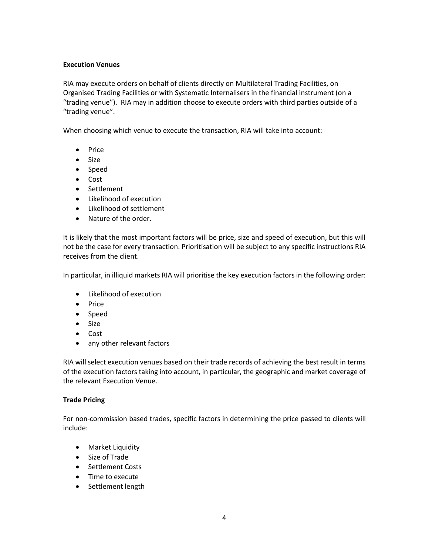#### **Execution Venues**

RIA may execute orders on behalf of clients directly on Multilateral Trading Facilities, on Organised Trading Facilities or with Systematic Internalisers in the financial instrument (on a "trading venue"). RIA may in addition choose to execute orders with third parties outside of a "trading venue".

When choosing which venue to execute the transaction, RIA will take into account:

- Price
- Size
- Speed
- Cost
- Settlement
- Likelihood of execution
- Likelihood of settlement
- Nature of the order.

It is likely that the most important factors will be price, size and speed of execution, but this will not be the case for every transaction. Prioritisation will be subject to any specific instructions RIA receives from the client.

In particular, in illiquid markets RIA will prioritise the key execution factors in the following order:

- Likelihood of execution
- Price
- Speed
- Size
- Cost
- any other relevant factors

RIA will select execution venues based on their trade records of achieving the best result in terms of the execution factors taking into account, in particular, the geographic and market coverage of the relevant Execution Venue.

#### **Trade Pricing**

For non-commission based trades, specific factors in determining the price passed to clients will include:

- Market Liquidity
- Size of Trade
- Settlement Costs
- Time to execute
- Settlement length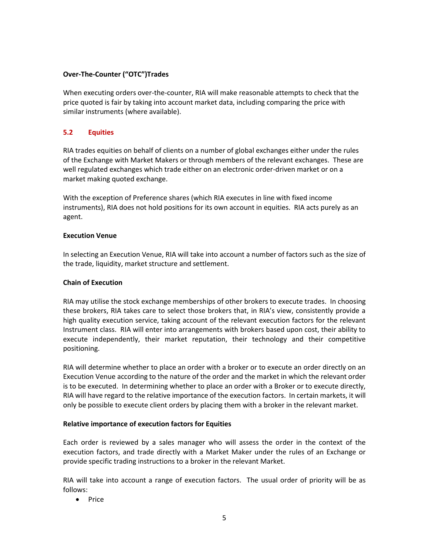#### **Over-The-Counter ("OTC")Trades**

When executing orders over-the-counter, RIA will make reasonable attempts to check that the price quoted is fair by taking into account market data, including comparing the price with similar instruments (where available).

#### **5.2 Equities**

RIA trades equities on behalf of clients on a number of global exchanges either under the rules of the Exchange with Market Makers or through members of the relevant exchanges. These are well regulated exchanges which trade either on an electronic order-driven market or on a market making quoted exchange.

With the exception of Preference shares (which RIA executes in line with fixed income instruments), RIA does not hold positions for its own account in equities. RIA acts purely as an agent.

#### **Execution Venue**

In selecting an Execution Venue, RIA will take into account a number of factors such as the size of the trade, liquidity, market structure and settlement.

#### **Chain of Execution**

RIA may utilise the stock exchange memberships of other brokers to execute trades. In choosing these brokers, RIA takes care to select those brokers that, in RIA's view, consistently provide a high quality execution service, taking account of the relevant execution factors for the relevant Instrument class. RIA will enter into arrangements with brokers based upon cost, their ability to execute independently, their market reputation, their technology and their competitive positioning.

RIA will determine whether to place an order with a broker or to execute an order directly on an Execution Venue according to the nature of the order and the market in which the relevant order is to be executed. In determining whether to place an order with a Broker or to execute directly, RIA will have regard to the relative importance of the execution factors. In certain markets, it will only be possible to execute client orders by placing them with a broker in the relevant market.

#### **Relative importance of execution factors for Equities**

Each order is reviewed by a sales manager who will assess the order in the context of the execution factors, and trade directly with a Market Maker under the rules of an Exchange or provide specific trading instructions to a broker in the relevant Market.

RIA will take into account a range of execution factors. The usual order of priority will be as follows:

• Price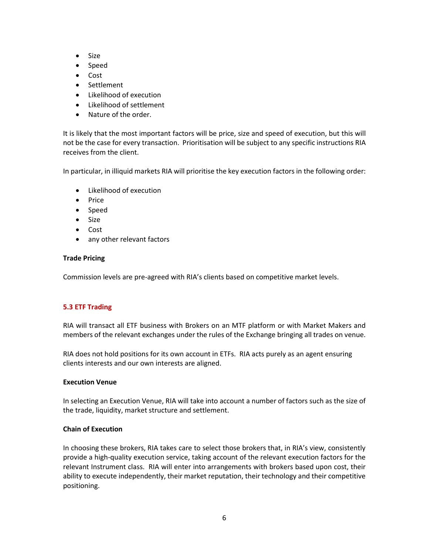- Size
- Speed
- Cost
- Settlement
- Likelihood of execution
- Likelihood of settlement
- Nature of the order.

It is likely that the most important factors will be price, size and speed of execution, but this will not be the case for every transaction. Prioritisation will be subject to any specific instructions RIA receives from the client.

In particular, in illiquid markets RIA will prioritise the key execution factors in the following order:

- Likelihood of execution
- Price
- Speed
- Size
- Cost
- any other relevant factors

#### **Trade Pricing**

Commission levels are pre-agreed with RIA's clients based on competitive market levels.

#### **5.3 ETF Trading**

RIA will transact all ETF business with Brokers on an MTF platform or with Market Makers and members of the relevant exchanges under the rules of the Exchange bringing all trades on venue.

RIA does not hold positions for its own account in ETFs. RIA acts purely as an agent ensuring clients interests and our own interests are aligned.

#### **Execution Venue**

In selecting an Execution Venue, RIA will take into account a number of factors such as the size of the trade, liquidity, market structure and settlement.

#### **Chain of Execution**

In choosing these brokers, RIA takes care to select those brokers that, in RIA's view, consistently provide a high-quality execution service, taking account of the relevant execution factors for the relevant Instrument class. RIA will enter into arrangements with brokers based upon cost, their ability to execute independently, their market reputation, their technology and their competitive positioning.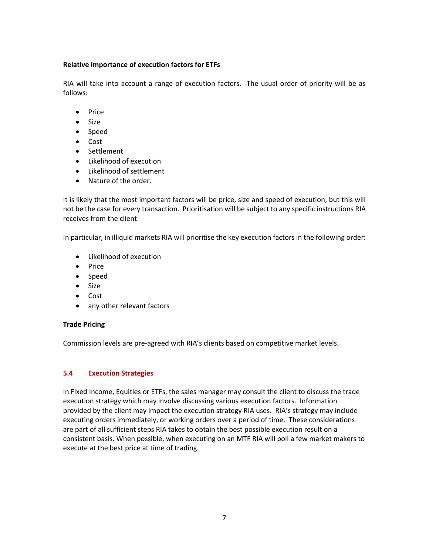#### **Relative importance of execution factors for ETFs**

RIA will take into account a range of execution factors. The usual order of priority will be as follows:

- Price
- Size
- Speed
- Cost
- Settlement
- Likelihood of execution
- Likelihood of settlement
- Nature of the order.

It is likely that the most important factors will be price, size and speed of execution, but this will not be the case for every transaction. Prioritisation will be subject to any specific instructions RIA receives from the client.

In particular, in illiquid markets RIA will prioritise the key execution factors in the following order:

- Likelihood of execution
- Price
- Speed
- Size
- Cost
- any other relevant factors

#### **Trade Pricing**

Commission levels are pre-agreed with RIA's clients based on competitive market levels.

#### **5.4 Execution Strategies**

In Fixed Income, Equities or ETFs, the sales manager may consult the client to discuss the trade execution strategy which may involve discussing various execution factors. Information provided by the client may impact the execution strategy RIA uses. RIA's strategy may include executing orders immediately, or working orders over a period of time. These considerations are part of all sufficient steps RIA takes to obtain the best possible execution result on a consistent basis. When possible, when executing on an MTF RIA will poll a few market makers to execute at the best price at time of trading.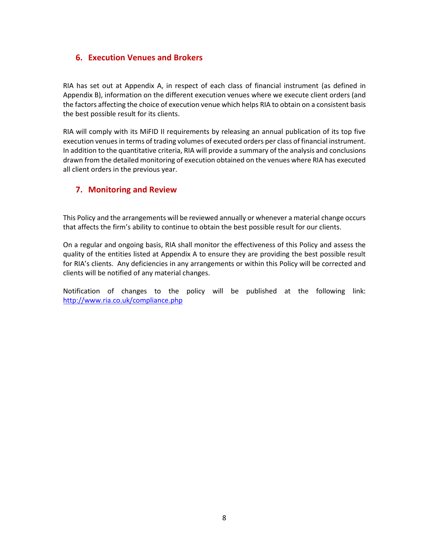#### **6. Execution Venues and Brokers**

RIA has set out at Appendix A, in respect of each class of financial instrument (as defined in Appendix B), information on the different execution venues where we execute client orders (and the factors affecting the choice of execution venue which helps RIA to obtain on a consistent basis the best possible result for its clients.

RIA will comply with its MiFID II requirements by releasing an annual publication of its top five execution venues in terms of trading volumes of executed orders per class of financial instrument. In addition to the quantitative criteria, RIA will provide a summary of the analysis and conclusions drawn from the detailed monitoring of execution obtained on the venues where RIA has executed all client orders in the previous year.

#### **7. Monitoring and Review**

This Policy and the arrangements will be reviewed annually or whenever a material change occurs that affects the firm's ability to continue to obtain the best possible result for our clients.

On a regular and ongoing basis, RIA shall monitor the effectiveness of this Policy and assess the quality of the entities listed at Appendix A to ensure they are providing the best possible result for RIA's clients. Any deficiencies in any arrangements or within this Policy will be corrected and clients will be notified of any material changes.

Notification of changes to the policy will be published at the following link: <http://www.ria.co.uk/compliance.php>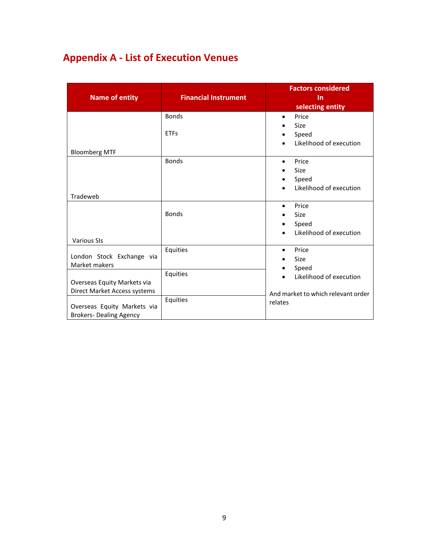## **Appendix A - List of Execution Venues**

| <b>Name of entity</b>                                                                         | <b>Financial Instrument</b> | <b>Factors considered</b><br>In<br>selecting entity                                      |
|-----------------------------------------------------------------------------------------------|-----------------------------|------------------------------------------------------------------------------------------|
|                                                                                               | <b>Bonds</b>                | Price<br>$\bullet$<br>Size<br>٠                                                          |
| <b>Bloomberg MTF</b>                                                                          | <b>ETFs</b>                 | Speed<br>Likelihood of execution                                                         |
|                                                                                               | <b>Bonds</b>                | Price<br>٠<br>Size<br>$\bullet$<br>Speed<br>٠<br>Likelihood of execution                 |
| Tradeweb                                                                                      |                             |                                                                                          |
|                                                                                               | <b>Bonds</b>                | Price<br>$\bullet$<br>Size<br>$\bullet$<br>Speed<br>$\bullet$<br>Likelihood of execution |
| <b>Various SIs</b>                                                                            |                             |                                                                                          |
| London Stock Exchange via<br>Market makers                                                    | Equities                    | Price<br>٠<br>Size<br>$\bullet$<br>Speed<br>$\bullet$                                    |
| Overseas Equity Markets via                                                                   | Equities                    | Likelihood of execution                                                                  |
| Direct Market Access systems<br>Overseas Equity Markets via<br><b>Brokers- Dealing Agency</b> | Equities                    | And market to which relevant order<br>relates                                            |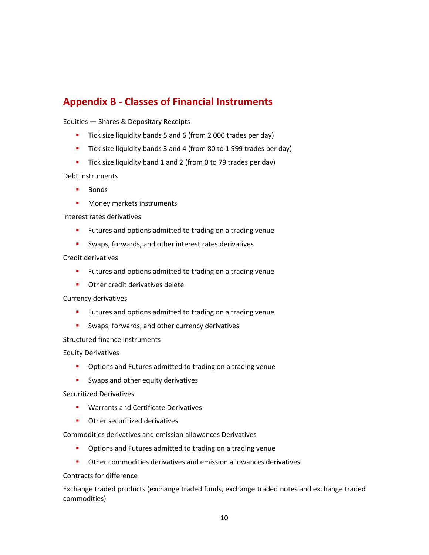### **Appendix B - Classes of Financial Instruments**

Equities — Shares & Depositary Receipts

- Tick size liquidity bands 5 and 6 (from 2 000 trades per day)
- Tick size liquidity bands 3 and 4 (from 80 to 1 999 trades per day)
- Tick size liquidity band 1 and 2 (from 0 to 79 trades per day)

Debt instruments

- Bonds
- Money markets instruments

Interest rates derivatives

- Futures and options admitted to trading on a trading venue
- Swaps, forwards, and other interest rates derivatives

#### Credit derivatives

- Futures and options admitted to trading on a trading venue
- Other credit derivatives delete

#### Currency derivatives

- Futures and options admitted to trading on a trading venue
- Swaps, forwards, and other currency derivatives

#### Structured finance instruments

Equity Derivatives

- Options and Futures admitted to trading on a trading venue
- **E** Swaps and other equity derivatives

#### Securitized Derivatives

- Warrants and Certificate Derivatives
- Other securitized derivatives

Commodities derivatives and emission allowances Derivatives

- Options and Futures admitted to trading on a trading venue
- Other commodities derivatives and emission allowances derivatives

#### Contracts for difference

Exchange traded products (exchange traded funds, exchange traded notes and exchange traded commodities)